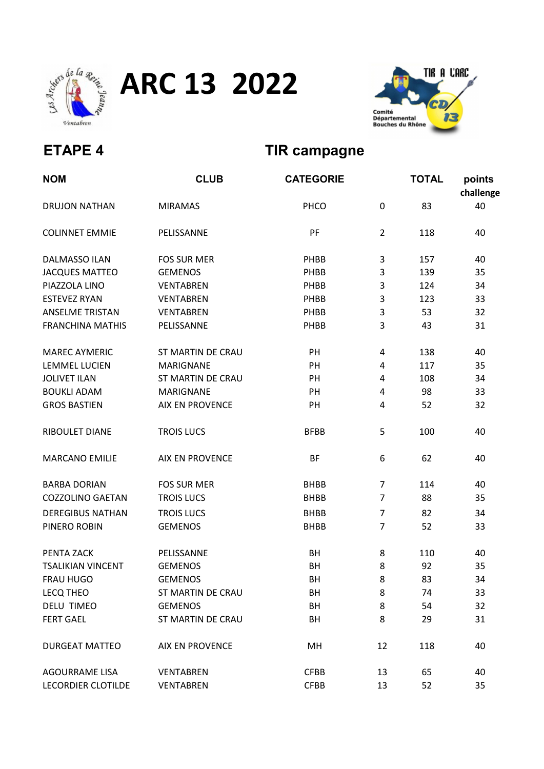

ARC 13 2022



## ETAPE 4 TIR campagne

| <b>NOM</b>               | <b>CLUB</b>              | <b>CATEGORIE</b> |                | <b>TOTAL</b> | points<br>challenge |
|--------------------------|--------------------------|------------------|----------------|--------------|---------------------|
| <b>DRUJON NATHAN</b>     | <b>MIRAMAS</b>           | PHCO             | $\mathbf 0$    | 83           | 40                  |
| <b>COLINNET EMMIE</b>    | PELISSANNE               | PF               | $\overline{2}$ | 118          | 40                  |
| <b>DALMASSO ILAN</b>     | <b>FOS SUR MER</b>       | PHBB             | 3              | 157          | 40                  |
| <b>JACQUES MATTEO</b>    | <b>GEMENOS</b>           | PHBB             | 3              | 139          | 35                  |
| PIAZZOLA LINO            | <b>VENTABREN</b>         | PHBB             | 3              | 124          | 34                  |
| <b>ESTEVEZ RYAN</b>      | <b>VENTABREN</b>         | PHBB             | 3              | 123          | 33                  |
| <b>ANSELME TRISTAN</b>   | <b>VENTABREN</b>         | PHBB             | 3              | 53           | 32                  |
| <b>FRANCHINA MATHIS</b>  | PELISSANNE               | PHBB             | 3              | 43           | 31                  |
| <b>MAREC AYMERIC</b>     | <b>ST MARTIN DE CRAU</b> | PH               | 4              | 138          | 40                  |
| <b>LEMMEL LUCIEN</b>     | <b>MARIGNANE</b>         | PH               | 4              | 117          | 35                  |
| <b>JOLIVET ILAN</b>      | <b>ST MARTIN DE CRAU</b> | PH               | 4              | 108          | 34                  |
| <b>BOUKLI ADAM</b>       | <b>MARIGNANE</b>         | PH               | 4              | 98           | 33                  |
| <b>GROS BASTIEN</b>      | <b>AIX EN PROVENCE</b>   | PH               | 4              | 52           | 32                  |
| RIBOULET DIANE           | <b>TROIS LUCS</b>        | <b>BFBB</b>      | 5              | 100          | 40                  |
| <b>MARCANO EMILIE</b>    | <b>AIX EN PROVENCE</b>   | <b>BF</b>        | 6              | 62           | 40                  |
| <b>BARBA DORIAN</b>      | <b>FOS SUR MER</b>       | <b>BHBB</b>      | 7              | 114          | 40                  |
| <b>COZZOLINO GAETAN</b>  | <b>TROIS LUCS</b>        | <b>BHBB</b>      | 7              | 88           | 35                  |
| <b>DEREGIBUS NATHAN</b>  | <b>TROIS LUCS</b>        | <b>BHBB</b>      | $\overline{7}$ | 82           | 34                  |
| PINERO ROBIN             | <b>GEMENOS</b>           | <b>BHBB</b>      | $\overline{7}$ | 52           | 33                  |
| PENTA ZACK               | PELISSANNE               | BH               | 8              | 110          | 40                  |
| <b>TSALIKIAN VINCENT</b> | <b>GEMENOS</b>           | BH               | 8              | 92           | 35                  |
| FRAU HUGO                | <b>GEMENOS</b>           | BH               | 8              | 83           | 34                  |
| <b>LECQ THEO</b>         | ST MARTIN DE CRAU        | BH               | 8              | 74           | 33                  |
| <b>DELU TIMEO</b>        | <b>GEMENOS</b>           | BH               | 8              | 54           | 32                  |
| <b>FERT GAEL</b>         | ST MARTIN DE CRAU        | BH               | 8              | 29           | 31                  |
| <b>DURGEAT MATTEO</b>    | <b>AIX EN PROVENCE</b>   | MH               | 12             | 118          | 40                  |
| <b>AGOURRAME LISA</b>    | <b>VENTABREN</b>         | <b>CFBB</b>      | 13             | 65           | 40                  |
| LECORDIER CLOTILDE       | <b>VENTABREN</b>         | <b>CFBB</b>      | 13             | 52           | 35                  |